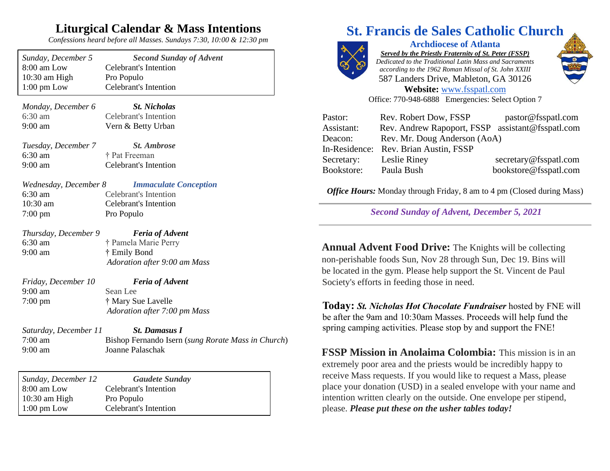## **Liturgical Calendar & Mass Intentions**

*Confessions heard before all Masses. Sundays 7:30, 10:00 & 12:30 pm*

| Sunday, December 5                                    | <b>Second Sunday of Advent</b>                                                                 |
|-------------------------------------------------------|------------------------------------------------------------------------------------------------|
| 8:00 am Low                                           | <b>Celebrant's Intention</b>                                                                   |
| 10:30 am High                                         | Pro Populo                                                                                     |
| $1:00 \text{ pm}$ Low                                 | Celebrant's Intention                                                                          |
| Monday, December 6                                    | <b>St. Nicholas</b>                                                                            |
| 6:30 am                                               | <b>Celebrant's Intention</b>                                                                   |
| $9:00$ am                                             | Vern & Betty Urban                                                                             |
| Tuesday, December 7                                   | <b>St. Ambrose</b>                                                                             |
| $6:30$ am                                             | † Pat Freeman                                                                                  |
| $9:00$ am                                             | <b>Celebrant's Intention</b>                                                                   |
| Wednesday, December 8                                 | <b>Immaculate Conception</b>                                                                   |
| 6:30 am                                               | <b>Celebrant's Intention</b>                                                                   |
| 10:30 am                                              | <b>Celebrant's Intention</b>                                                                   |
| $7:00 \text{ pm}$                                     | Pro Populo                                                                                     |
| Thursday, December 9<br>6:30 am<br>9:00 am            | <b>Feria of Advent</b><br>† Pamela Marie Perry<br>† Emily Bond<br>Adoration after 9:00 am Mass |
| Friday, December 10<br>$9:00$ am<br>$7:00 \text{ pm}$ | <b>Feria of Advent</b><br>Sean Lee<br>† Mary Sue Lavelle<br>Adoration after 7:00 pm Mass       |
| Saturday, December 11                                 | <b>St. Damasus I</b>                                                                           |
| $7:00 \text{ am}$                                     | Bishop Fernando Isern (sung Rorate Mass in Church)                                             |
| 9:00 am                                               | Joanne Palaschak                                                                               |
| Sunday, December 12                                   | <b>Gaudete Sunday</b>                                                                          |
| 8:00 am Low                                           | <b>Celebrant's Intention</b>                                                                   |
| $10:30$ am High                                       | Pro Populo                                                                                     |

1:00 pm Low Celebrant's Intention

# **St. Francis de Sales Catholic Church**



**Archdiocese of Atlanta** *Served by the Priestly Fraternity of St. Peter (FSSP) Dedicated to the Traditional Latin Mass and Sacraments according to the 1962 Roman Missal of St. John XXIII* 587 Landers Drive, Mableton, GA 30126 **Website:** [www.fsspatl.com](http://www.fsspatl.com/)



Office: 770-948-6888 Emergencies: Select Option 7

| Pastor:    | Rev. Robert Dow, FSSP                            | pastor@fsspatl.com    |  |
|------------|--------------------------------------------------|-----------------------|--|
| Assistant: | Rev. Andrew Rapoport, FSSP assistant@fsspatl.com |                       |  |
| Deacon:    | Rev. Mr. Doug Anderson (AoA)                     |                       |  |
|            | In-Residence: Rev. Brian Austin, FSSP            |                       |  |
| Secretary: | Leslie Riney                                     | secretary@fsspatl.com |  |
| Bookstore: | Paula Bush                                       | bookstore@fsspatl.com |  |

*Office Hours:* Monday through Friday, 8 am to 4 pm (Closed during Mass)

*Second Sunday of Advent, December 5, 2021*

**Annual Advent Food Drive:** The Knights will be collecting non-perishable foods Sun, Nov 28 through Sun, Dec 19. Bins will be located in the gym. Please help support the St. Vincent de Paul Society's efforts in feeding those in need.

**Today:** *St. Nicholas Hot Chocolate Fundraiser* hosted by FNE will be after the 9am and 10:30am Masses. Proceeds will help fund the spring camping activities. Please stop by and support the FNE!

**FSSP Mission in Anolaima Colombia:** This mission is in an extremely poor area and the priests would be incredibly happy to receive Mass requests. If you would like to request a Mass, please place your donation (USD) in a sealed envelope with your name and intention written clearly on the outside. One envelope per stipend, please. *Please put these on the usher tables today!*